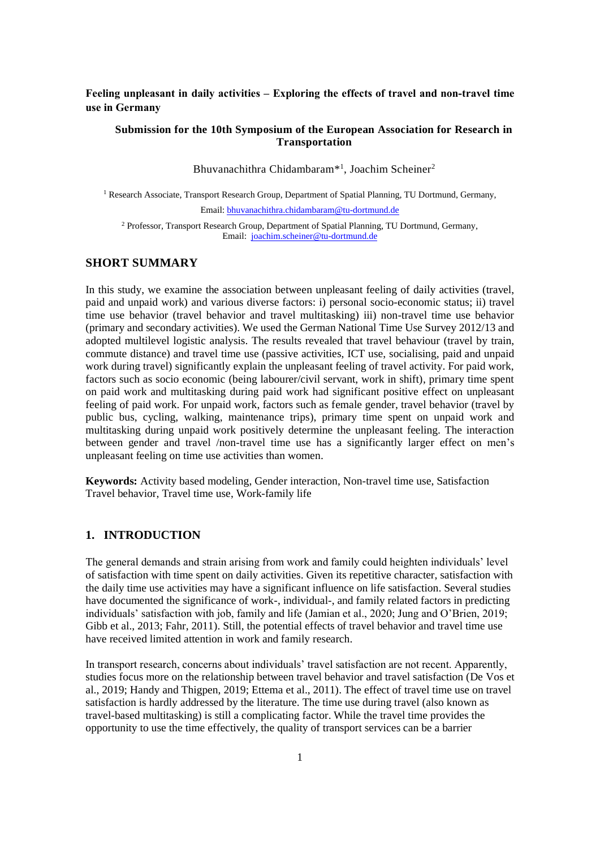# **Feeling unpleasant in daily activities – Exploring the effects of travel and non-travel time use in Germany**

## **Submission for the 10th Symposium of the European Association for Research in Transportation**

Bhuvanachithra Chidambaram<sup>\*1</sup>, Joachim Scheiner<sup>2</sup>

<sup>1</sup> Research Associate, Transport Research Group, Department of Spatial Planning, TU Dortmund, Germany, Email[: bhuvanachithra.chidambaram@tu-dortmund.de](mailto:bhuvanachithra.chidambaram@tu-dortmund.de)

<sup>2</sup> Professor, Transport Research Group, Department of Spatial Planning, TU Dortmund, Germany, Email: [joachim.scheiner@tu-dortmund.de](mailto:joachim.scheiner@tu-dortmund.de)

# **SHORT SUMMARY**

In this study, we examine the association between unpleasant feeling of daily activities (travel, paid and unpaid work) and various diverse factors: i) personal socio-economic status; ii) travel time use behavior (travel behavior and travel multitasking) iii) non-travel time use behavior (primary and secondary activities). We used the German National Time Use Survey 2012/13 and adopted multilevel logistic analysis. The results revealed that travel behaviour (travel by train, commute distance) and travel time use (passive activities, ICT use, socialising, paid and unpaid work during travel) significantly explain the unpleasant feeling of travel activity. For paid work, factors such as socio economic (being labourer/civil servant, work in shift), primary time spent on paid work and multitasking during paid work had significant positive effect on unpleasant feeling of paid work. For unpaid work, factors such as female gender, travel behavior (travel by public bus, cycling, walking, maintenance trips), primary time spent on unpaid work and multitasking during unpaid work positively determine the unpleasant feeling. The interaction between gender and travel /non-travel time use has a significantly larger effect on men's unpleasant feeling on time use activities than women.

**Keywords:** Activity based modeling, Gender interaction, Non-travel time use, Satisfaction Travel behavior, Travel time use, Work-family life

## **1. INTRODUCTION**

The general demands and strain arising from work and family could heighten individuals' level of satisfaction with time spent on daily activities. Given its repetitive character, satisfaction with the daily time use activities may have a significant influence on life satisfaction. Several studies have documented the significance of work-, individual-, and family related factors in predicting individuals' satisfaction with job, family and life (Jamian et al., 2020; Jung and O'Brien, 2019; Gibb et al., 2013; Fahr, 2011). Still, the potential effects of travel behavior and travel time use have received limited attention in work and family research.

In transport research, concerns about individuals' travel satisfaction are not recent. Apparently, studies focus more on the relationship between travel behavior and travel satisfaction (De Vos et al., 2019; Handy and Thigpen, 2019; Ettema et al., 2011). The effect of travel time use on travel satisfaction is hardly addressed by the literature. The time use during travel (also known as travel-based multitasking) is still a complicating factor. While the travel time provides the opportunity to use the time effectively, the quality of transport services can be a barrier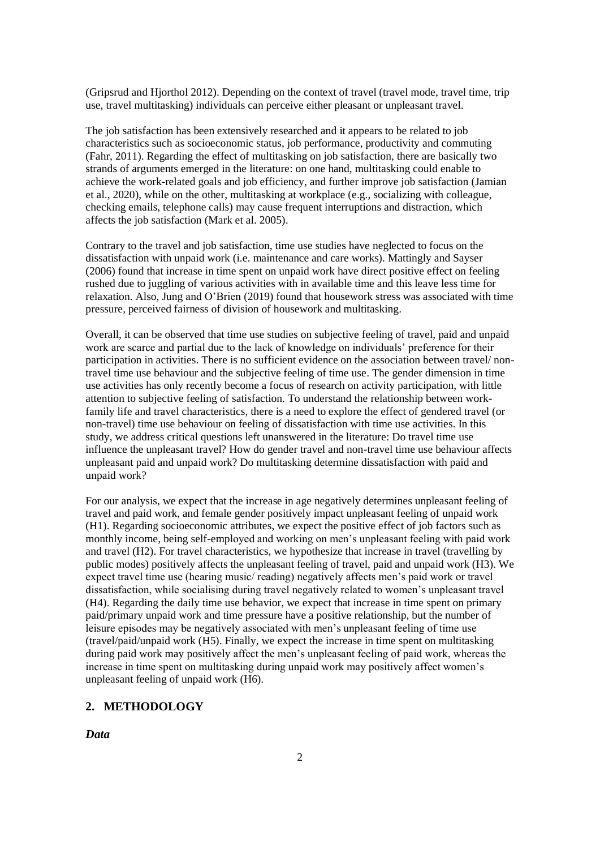(Gripsrud and Hjorthol 2012). Depending on the context of travel (travel mode, travel time, trip use, travel multitasking) individuals can perceive either pleasant or unpleasant travel.

The job satisfaction has been extensively researched and it appears to be related to job characteristics such as socioeconomic status, job performance, productivity and commuting (Fahr, 2011). Regarding the effect of multitasking on job satisfaction, there are basically two strands of arguments emerged in the literature: on one hand, multitasking could enable to achieve the work-related goals and job efficiency, and further improve job satisfaction (Jamian et al., 2020), while on the other, multitasking at workplace (e.g., socializing with colleague, checking emails, telephone calls) may cause frequent interruptions and distraction, which affects the job satisfaction (Mark et al. 2005).

Contrary to the travel and job satisfaction, time use studies have neglected to focus on the dissatisfaction with unpaid work (i.e. maintenance and care works). Mattingly and Sayser (2006) found that increase in time spent on unpaid work have direct positive effect on feeling rushed due to juggling of various activities with in available time and this leave less time for relaxation. Also, Jung and O'Brien (2019) found that housework stress was associated with time pressure, perceived fairness of division of housework and multitasking.

Overall, it can be observed that time use studies on subjective feeling of travel, paid and unpaid work are scarce and partial due to the lack of knowledge on individuals' preference for their participation in activities. There is no sufficient evidence on the association between travel/ nontravel time use behaviour and the subjective feeling of time use. The gender dimension in time use activities has only recently become a focus of research on activity participation, with little attention to subjective feeling of satisfaction. To understand the relationship between workfamily life and travel characteristics, there is a need to explore the effect of gendered travel (or non-travel) time use behaviour on feeling of dissatisfaction with time use activities. In this study, we address critical questions left unanswered in the literature: Do travel time use influence the unpleasant travel? How do gender travel and non-travel time use behaviour affects unpleasant paid and unpaid work? Do multitasking determine dissatisfaction with paid and unpaid work?

For our analysis, we expect that the increase in age negatively determines unpleasant feeling of travel and paid work, and female gender positively impact unpleasant feeling of unpaid work (H1). Regarding socioeconomic attributes, we expect the positive effect of job factors such as monthly income, being self-employed and working on men's unpleasant feeling with paid work and travel (H2). For travel characteristics, we hypothesize that increase in travel (travelling by public modes) positively affects the unpleasant feeling of travel, paid and unpaid work (H3). We expect travel time use (hearing music/ reading) negatively affects men's paid work or travel dissatisfaction, while socialising during travel negatively related to women's unpleasant travel (H4). Regarding the daily time use behavior, we expect that increase in time spent on primary paid/primary unpaid work and time pressure have a positive relationship, but the number of leisure episodes may be negatively associated with men's unpleasant feeling of time use (travel/paid/unpaid work (H5). Finally, we expect the increase in time spent on multitasking during paid work may positively affect the men's unpleasant feeling of paid work, whereas the increase in time spent on multitasking during unpaid work may positively affect women's unpleasant feeling of unpaid work (H6).

# **2. METHODOLOGY**

*Data*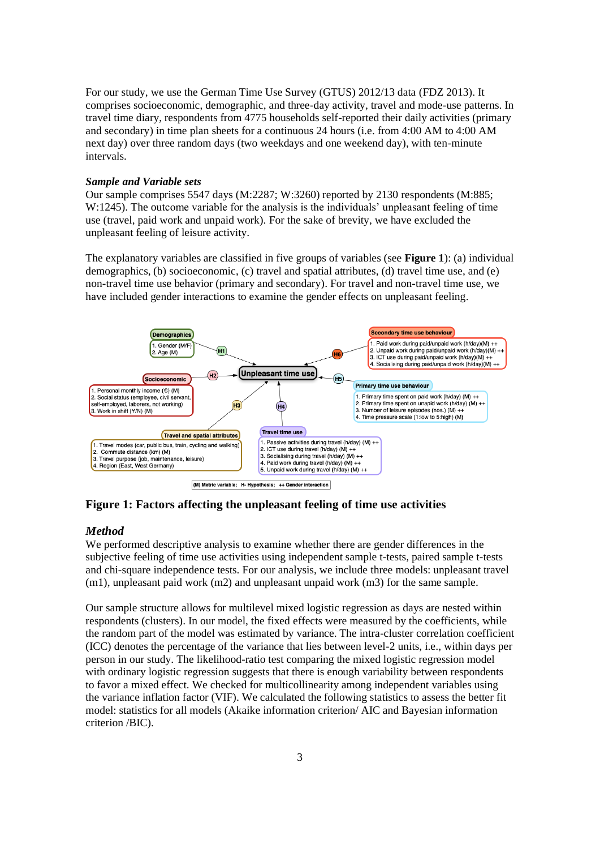For our study, we use the German Time Use Survey (GTUS) 2012/13 data (FDZ 2013). It comprises socioeconomic, demographic, and three-day activity, travel and mode-use patterns. In travel time diary, respondents from 4775 households self-reported their daily activities (primary and secondary) in time plan sheets for a continuous 24 hours (i.e. from 4:00 AM to 4:00 AM next day) over three random days (two weekdays and one weekend day), with ten-minute intervals.

## *Sample and Variable sets*

Our sample comprises 5547 days (M:2287; W:3260) reported by 2130 respondents (M:885; W:1245). The outcome variable for the analysis is the individuals' unpleasant feeling of time use (travel, paid work and unpaid work). For the sake of brevity, we have excluded the unpleasant feeling of leisure activity.

The explanatory variables are classified in five groups of variables (see **Figure 1**): (a) individual demographics, (b) socioeconomic, (c) travel and spatial attributes, (d) travel time use, and (e) non-travel time use behavior (primary and secondary). For travel and non-travel time use, we have included gender interactions to examine the gender effects on unpleasant feeling.



**Figure 1: Factors affecting the unpleasant feeling of time use activities**

### *Method*

We performed descriptive analysis to examine whether there are gender differences in the subjective feeling of time use activities using independent sample t-tests, paired sample t-tests and chi-square independence tests. For our analysis, we include three models: unpleasant travel  $(m1)$ , unpleasant paid work  $(m2)$  and unpleasant unpaid work  $(m3)$  for the same sample.

Our sample structure allows for multilevel mixed logistic regression as days are nested within respondents (clusters). In our model, the fixed effects were measured by the coefficients, while the random part of the model was estimated by variance. The intra-cluster correlation coefficient (ICC) denotes the percentage of the variance that lies between level-2 units, i.e., within days per person in our study. The likelihood-ratio test comparing the mixed logistic regression model with ordinary logistic regression suggests that there is enough variability between respondents to favor a mixed effect. We checked for multicollinearity among independent variables using the variance inflation factor (VIF). We calculated the following statistics to assess the better fit model: statistics for all models (Akaike information criterion/ AIC and Bayesian information criterion /BIC).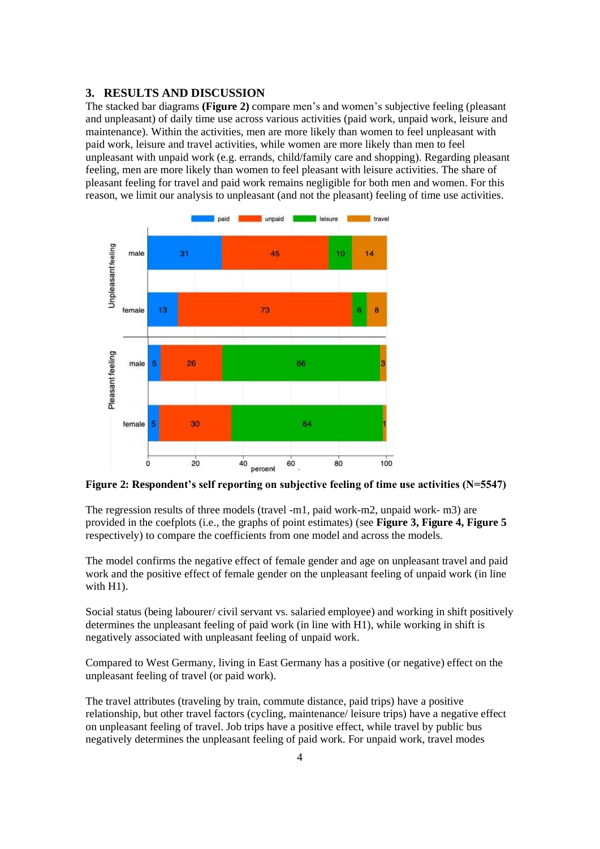### **3. RESULTS AND DISCUSSION**

The stacked bar diagrams **(Figure 2)** compare men's and women's subjective feeling (pleasant and unpleasant) of daily time use across various activities (paid work, unpaid work, leisure and maintenance). Within the activities, men are more likely than women to feel unpleasant with paid work, leisure and travel activities, while women are more likely than men to feel unpleasant with unpaid work (e.g. errands, child/family care and shopping). Regarding pleasant feeling, men are more likely than women to feel pleasant with leisure activities. The share of pleasant feeling for travel and paid work remains negligible for both men and women. For this reason, we limit our analysis to unpleasant (and not the pleasant) feeling of time use activities.



**Figure 2: Respondent's self reporting on subjective feeling of time use activities (N=5547)**

The regression results of three models (travel -m1, paid work-m2, unpaid work- m3) are provided in the coefplots (i.e., the graphs of point estimates) (see **Figure 3, Figure 4, Figure 5** respectively) to compare the coefficients from one model and across the models.

The model confirms the negative effect of female gender and age on unpleasant travel and paid work and the positive effect of female gender on the unpleasant feeling of unpaid work (in line with H<sub>1</sub>).

Social status (being labourer/ civil servant vs. salaried employee) and working in shift positively determines the unpleasant feeling of paid work (in line with H1), while working in shift is negatively associated with unpleasant feeling of unpaid work.

Compared to West Germany, living in East Germany has a positive (or negative) effect on the unpleasant feeling of travel (or paid work).

The travel attributes (traveling by train, commute distance, paid trips) have a positive relationship, but other travel factors (cycling, maintenance/ leisure trips) have a negative effect on unpleasant feeling of travel. Job trips have a positive effect, while travel by public bus negatively determines the unpleasant feeling of paid work. For unpaid work, travel modes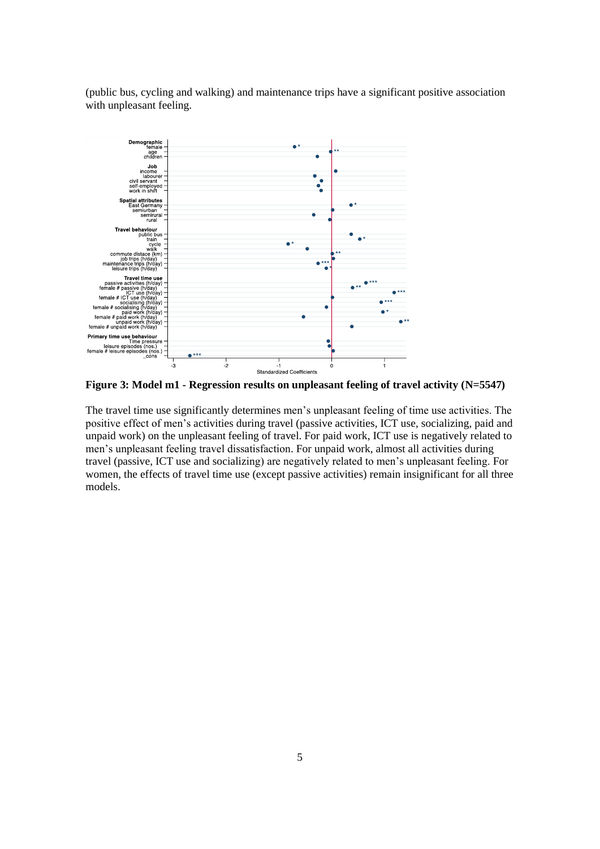(public bus, cycling and walking) and maintenance trips have a significant positive association with unpleasant feeling.



**Figure 3: Model m1 - Regression results on unpleasant feeling of travel activity (N=5547)**

The travel time use significantly determines men's unpleasant feeling of time use activities. The positive effect of men's activities during travel (passive activities, ICT use, socializing, paid and unpaid work) on the unpleasant feeling of travel. For paid work, ICT use is negatively related to men's unpleasant feeling travel dissatisfaction. For unpaid work, almost all activities during travel (passive, ICT use and socializing) are negatively related to men's unpleasant feeling. For women, the effects of travel time use (except passive activities) remain insignificant for all three models.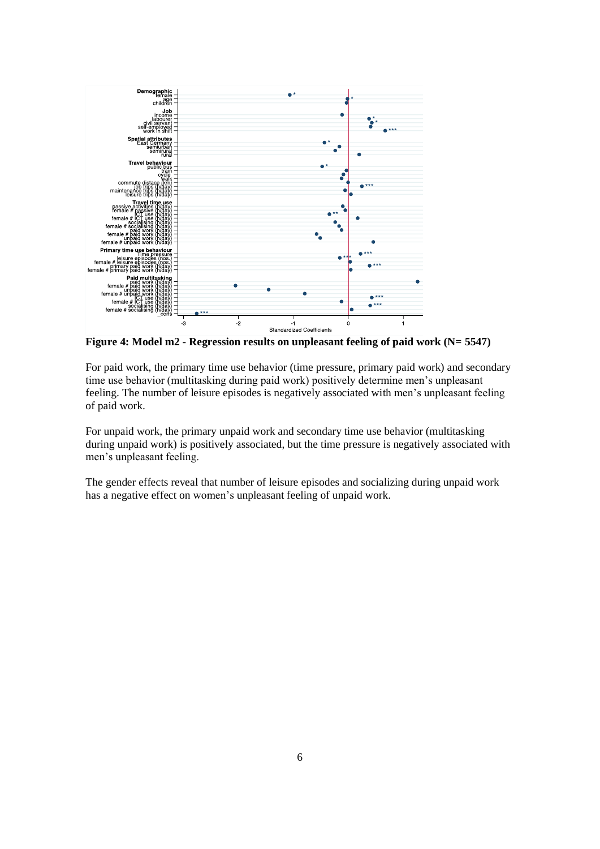

**Figure 4: Model m2 - Regression results on unpleasant feeling of paid work (N= 5547)**

For paid work, the primary time use behavior (time pressure, primary paid work) and secondary time use behavior (multitasking during paid work) positively determine men's unpleasant feeling. The number of leisure episodes is negatively associated with men's unpleasant feeling of paid work.

For unpaid work, the primary unpaid work and secondary time use behavior (multitasking during unpaid work) is positively associated, but the time pressure is negatively associated with men's unpleasant feeling.

The gender effects reveal that number of leisure episodes and socializing during unpaid work has a negative effect on women's unpleasant feeling of unpaid work.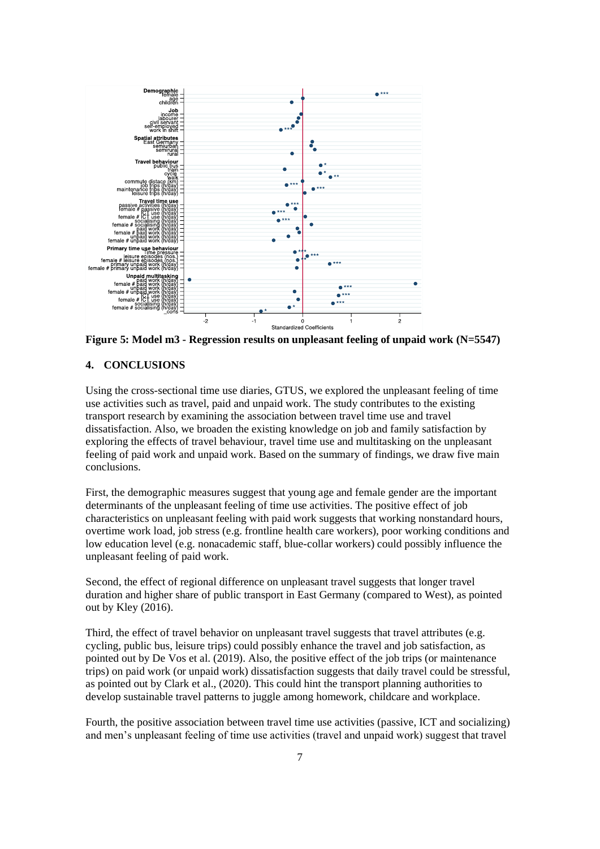

**Figure 5: Model m3 - Regression results on unpleasant feeling of unpaid work (N=5547)**

#### **4. CONCLUSIONS**

Using the cross-sectional time use diaries, GTUS, we explored the unpleasant feeling of time use activities such as travel, paid and unpaid work. The study contributes to the existing transport research by examining the association between travel time use and travel dissatisfaction. Also, we broaden the existing knowledge on job and family satisfaction by exploring the effects of travel behaviour, travel time use and multitasking on the unpleasant feeling of paid work and unpaid work. Based on the summary of findings, we draw five main conclusions.

First, the demographic measures suggest that young age and female gender are the important determinants of the unpleasant feeling of time use activities. The positive effect of job characteristics on unpleasant feeling with paid work suggests that working nonstandard hours, overtime work load, job stress (e.g. frontline health care workers), poor working conditions and low education level (e.g. nonacademic staff, blue-collar workers) could possibly influence the unpleasant feeling of paid work.

Second, the effect of regional difference on unpleasant travel suggests that longer travel duration and higher share of public transport in East Germany (compared to West), as pointed out by Kley (2016).

Third, the effect of travel behavior on unpleasant travel suggests that travel attributes (e.g. cycling, public bus, leisure trips) could possibly enhance the travel and job satisfaction, as pointed out by De Vos et al. (2019). Also, the positive effect of the job trips (or maintenance trips) on paid work (or unpaid work) dissatisfaction suggests that daily travel could be stressful, as pointed out by Clark et al., (2020). This could hint the transport planning authorities to develop sustainable travel patterns to juggle among homework, childcare and workplace.

Fourth, the positive association between travel time use activities (passive, ICT and socializing) and men's unpleasant feeling of time use activities (travel and unpaid work) suggest that travel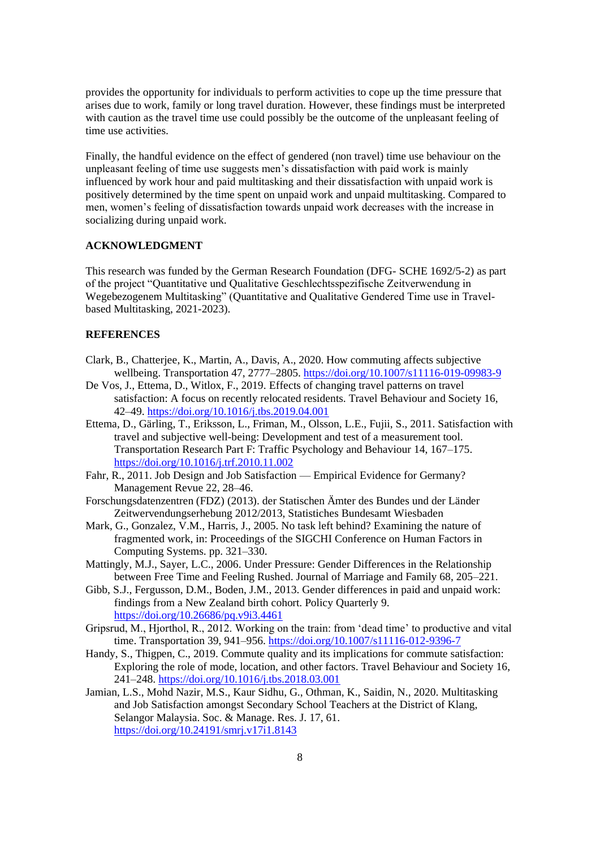provides the opportunity for individuals to perform activities to cope up the time pressure that arises due to work, family or long travel duration. However, these findings must be interpreted with caution as the travel time use could possibly be the outcome of the unpleasant feeling of time use activities.

Finally, the handful evidence on the effect of gendered (non travel) time use behaviour on the unpleasant feeling of time use suggests men's dissatisfaction with paid work is mainly influenced by work hour and paid multitasking and their dissatisfaction with unpaid work is positively determined by the time spent on unpaid work and unpaid multitasking. Compared to men, women's feeling of dissatisfaction towards unpaid work decreases with the increase in socializing during unpaid work.

### **ACKNOWLEDGMENT**

This research was funded by the German Research Foundation (DFG- SCHE 1692/5-2) as part of the project "Quantitative und Qualitative Geschlechtsspezifische Zeitverwendung in Wegebezogenem Multitasking" (Quantitative and Qualitative Gendered Time use in Travelbased Multitasking, 2021-2023).

### **REFERENCES**

- Clark, B., Chatterjee, K., Martin, A., Davis, A., 2020. How commuting affects subjective wellbeing. Transportation 47, 2777–2805.<https://doi.org/10.1007/s11116-019-09983-9>
- De Vos, J., Ettema, D., Witlox, F., 2019. Effects of changing travel patterns on travel satisfaction: A focus on recently relocated residents. Travel Behaviour and Society 16, 42–49.<https://doi.org/10.1016/j.tbs.2019.04.001>
- Ettema, D., Gärling, T., Eriksson, L., Friman, M., Olsson, L.E., Fujii, S., 2011. Satisfaction with travel and subjective well-being: Development and test of a measurement tool. Transportation Research Part F: Traffic Psychology and Behaviour 14, 167–175. <https://doi.org/10.1016/j.trf.2010.11.002>
- Fahr, R., 2011. Job Design and Job Satisfaction Empirical Evidence for Germany? Management Revue 22, 28–46.
- Forschungsdatenzentren (FDZ) (2013). der Statischen Ämter des Bundes und der Länder Zeitwervendungserhebung 2012/2013, Statistiches Bundesamt Wiesbaden
- Mark, G., Gonzalez, V.M., Harris, J., 2005. No task left behind? Examining the nature of fragmented work, in: Proceedings of the SIGCHI Conference on Human Factors in Computing Systems. pp. 321–330.
- Mattingly, M.J., Sayer, L.C., 2006. Under Pressure: Gender Differences in the Relationship between Free Time and Feeling Rushed. Journal of Marriage and Family 68, 205–221.
- Gibb, S.J., Fergusson, D.M., Boden, J.M., 2013. Gender differences in paid and unpaid work: findings from a New Zealand birth cohort. Policy Quarterly 9. <https://doi.org/10.26686/pq.v9i3.4461>
- Gripsrud, M., Hjorthol, R., 2012. Working on the train: from 'dead time' to productive and vital time. Transportation 39, 941–956.<https://doi.org/10.1007/s11116-012-9396-7>
- Handy, S., Thigpen, C., 2019. Commute quality and its implications for commute satisfaction: Exploring the role of mode, location, and other factors. Travel Behaviour and Society 16, 241–248.<https://doi.org/10.1016/j.tbs.2018.03.001>
- Jamian, L.S., Mohd Nazir, M.S., Kaur Sidhu, G., Othman, K., Saidin, N., 2020. Multitasking and Job Satisfaction amongst Secondary School Teachers at the District of Klang, Selangor Malaysia. Soc. & Manage. Res. J. 17, 61. <https://doi.org/10.24191/smrj.v17i1.8143>